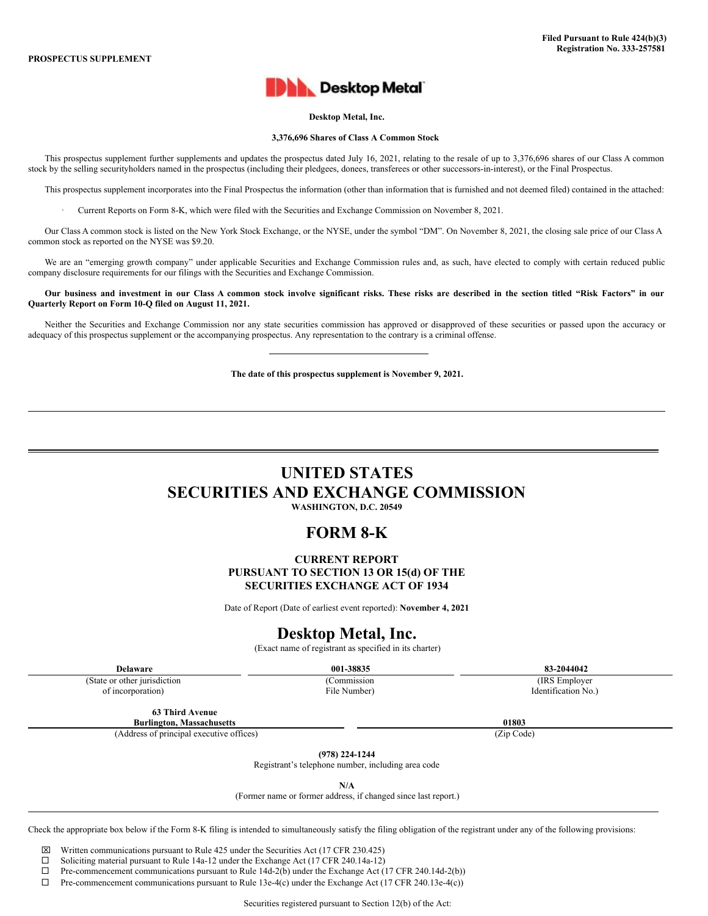

# **Desktop Metal, Inc.**

### **3,376,696 Shares of Class A Common Stock**

This prospectus supplement further supplements and updates the prospectus dated July 16, 2021, relating to the resale of up to 3,376,696 shares of our Class A common stock by the selling securityholders named in the prospectus (including their pledgees, donees, transferees or other successors-in-interest), or the Final Prospectus.

This prospectus supplement incorporates into the Final Prospectus the information (other than information that is furnished and not deemed filed) contained in the attached:

· Current Reports on Form 8-K, which were filed with the Securities and Exchange Commission on November 8, 2021.

Our Class A common stock is listed on the New York Stock Exchange, or the NYSE, under the symbol "DM". On November 8, 2021, the closing sale price of our Class A common stock as reported on the NYSE was \$9.20.

We are an "emerging growth company" under applicable Securities and Exchange Commission rules and, as such, have elected to comply with certain reduced public company disclosure requirements for our filings with the Securities and Exchange Commission.

Our business and investment in our Class A common stock involve significant risks. These risks are described in the section titled "Risk Factors" in our **Quarterly Report on Form 10-Q filed on August 11, 2021.**

Neither the Securities and Exchange Commission nor any state securities commission has approved or disapproved of these securities or passed upon the accuracy or adequacy of this prospectus supplement or the accompanying prospectus. Any representation to the contrary is a criminal offense.

**The date of this prospectus supplement is November 9, 2021.**

# **UNITED STATES SECURITIES AND EXCHANGE COMMISSION**

**WASHINGTON, D.C. 20549**

# **FORM 8-K**

**CURRENT REPORT PURSUANT TO SECTION 13 OR 15(d) OF THE SECURITIES EXCHANGE ACT OF 1934**

Date of Report (Date of earliest event reported): **November 4, 2021**

# **Desktop Metal, Inc.**

(Exact name of registrant as specified in its charter)

**Delaware 001-38835 83-2044042** (Commission File Number)

**63 Third Avenue**

(State or other jurisdiction of incorporation)

**Burlington, Massachusetts 01803**

(Address of principal executive offices) (Zip Code)

**(978) 224-1244**

Registrant's telephone number, including area code

**N/A**

(Former name or former address, if changed since last report.)

Check the appropriate box below if the Form 8-K filing is intended to simultaneously satisfy the filing obligation of the registrant under any of the following provisions:

x Written communications pursuant to Rule 425 under the Securities Act (17 CFR 230.425)

 $\Box$  Soliciting material pursuant to Rule 14a-12 under the Exchange Act (17 CFR 240.14a-12)

 $\Box$  Pre-commencement communications pursuant to Rule 14d-2(b) under the Exchange Act (17 CFR 240.14d-2(b))

 $\Box$  Pre-commencement communications pursuant to Rule 13e-4(c) under the Exchange Act (17 CFR 240.13e-4(c))

Securities registered pursuant to Section 12(b) of the Act:

(IRS Employer Identification No.)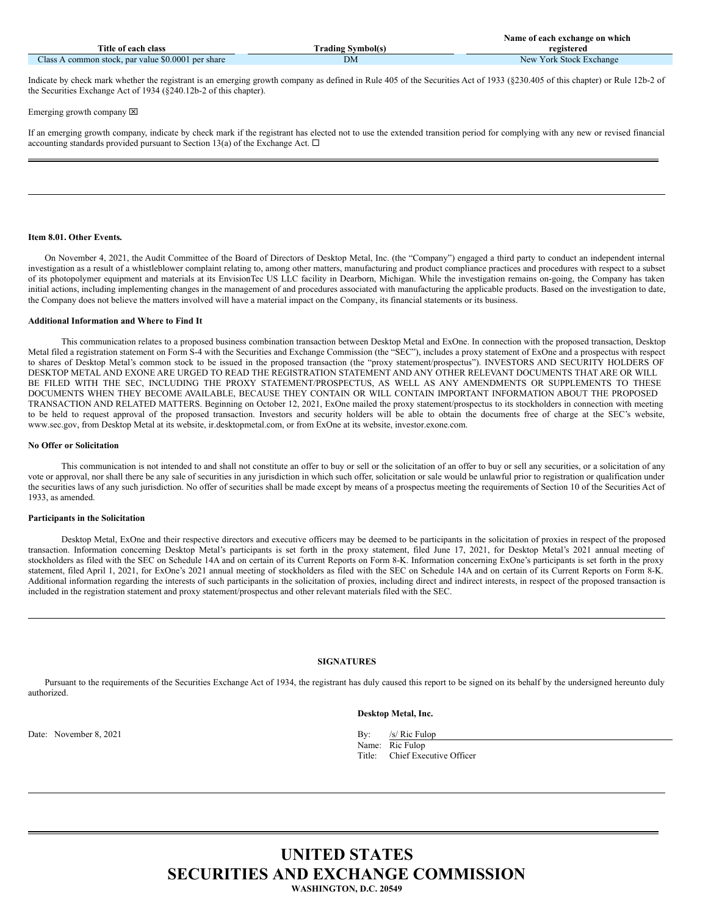|                                                    |                          | Name of each exchange on which |
|----------------------------------------------------|--------------------------|--------------------------------|
| Title of each class                                | <b>Trading Symbol(s)</b> | registered                     |
| Class A common stock, par value \$0.0001 per share | DM                       | New York Stock Exchange        |

Indicate by check mark whether the registrant is an emerging growth company as defined in Rule 405 of the Securities Act of 1933 (§230.405 of this chapter) or Rule 12b-2 of the Securities Exchange Act of 1934 (§240.12b-2 of this chapter).

### Emerging growth company  $[**X**]$

If an emerging growth company, indicate by check mark if the registrant has elected not to use the extended transition period for complying with any new or revised financial accounting standards provided pursuant to Section 13(a) of the Exchange Act.  $\Box$ 

### **Item 8.01. Other Events.**

On November 4, 2021, the Audit Committee of the Board of Directors of Desktop Metal, Inc. (the "Company") engaged a third party to conduct an independent internal investigation as a result of a whistleblower complaint relating to, among other matters, manufacturing and product compliance practices and procedures with respect to a subset of its photopolymer equipment and materials at its EnvisionTec US LLC facility in Dearborn, Michigan. While the investigation remains on-going, the Company has taken initial actions, including implementing changes in the management of and procedures associated with manufacturing the applicable products. Based on the investigation to date, the Company does not believe the matters involved will have a material impact on the Company, its financial statements or its business.

### **Additional Information and Where to Find It**

This communication relates to a proposed business combination transaction between Desktop Metal and ExOne. In connection with the proposed transaction, Desktop Metal filed a registration statement on Form S-4 with the Securities and Exchange Commission (the "SEC"), includes a proxy statement of ExOne and a prospectus with respect to shares of Desktop Metal's common stock to be issued in the proposed transaction (the "proxy statement/prospectus"). INVESTORS AND SECURITY HOLDERS OF DESKTOP METAL AND EXONE ARE URGED TO READ THE REGISTRATION STATEMENT AND ANY OTHER RELEVANT DOCUMENTS THAT ARE OR WILL BE FILED WITH THE SEC, INCLUDING THE PROXY STATEMENT/PROSPECTUS, AS WELL AS ANY AMENDMENTS OR SUPPLEMENTS TO THESE DOCUMENTS WHEN THEY BECOME AVAILABLE, BECAUSE THEY CONTAIN OR WILL CONTAIN IMPORTANT INFORMATION ABOUT THE PROPOSED TRANSACTION AND RELATED MATTERS. Beginning on October 12, 2021, ExOne mailed the proxy statement/prospectus to its stockholders in connection with meeting to be held to request approval of the proposed transaction. Investors and security holders will be able to obtain the documents free of charge at the SEC's website, www.sec.gov, from Desktop Metal at its website, ir.desktopmetal.com, or from ExOne at its website, investor.exone.com.

### **No Offer or Solicitation**

This communication is not intended to and shall not constitute an offer to buy or sell or the solicitation of an offer to buy or sell any securities, or a solicitation of any vote or approval, nor shall there be any sale of securities in any jurisdiction in which such offer, solicitation or sale would be unlawful prior to registration or qualification under the securities laws of any such jurisdiction. No offer of securities shall be made except by means of a prospectus meeting the requirements of Section 10 of the Securities Act of 1933, as amended.

### **Participants in the Solicitation**

Desktop Metal, ExOne and their respective directors and executive officers may be deemed to be participants in the solicitation of proxies in respect of the proposed transaction. Information concerning Desktop Metal's participants is set forth in the proxy statement, filed June 17, 2021, for Desktop Metal's 2021 annual meeting of stockholders as filed with the SEC on Schedule 14A and on certain of its Current Reports on Form 8-K. Information concerning ExOne's participants is set forth in the proxy statement, filed April 1, 2021, for ExOne's 2021 annual meeting of stockholders as filed with the SEC on Schedule 14A and on certain of its Current Reports on Form 8-K. Additional information regarding the interests of such participants in the solicitation of proxies, including direct and indirect interests, in respect of the proposed transaction is included in the registration statement and proxy statement/prospectus and other relevant materials filed with the SEC.

### **SIGNATURES**

Pursuant to the requirements of the Securities Exchange Act of 1934, the registrant has duly caused this report to be signed on its behalf by the undersigned hereunto duly authorized.

## **Desktop Metal, Inc.**

Date: November 8, 2021 By: /s/ Ric Fulop

Name: Ric Fulop Title: Chief Executive Officer

# **UNITED STATES SECURITIES AND EXCHANGE COMMISSION WASHINGTON, D.C. 20549**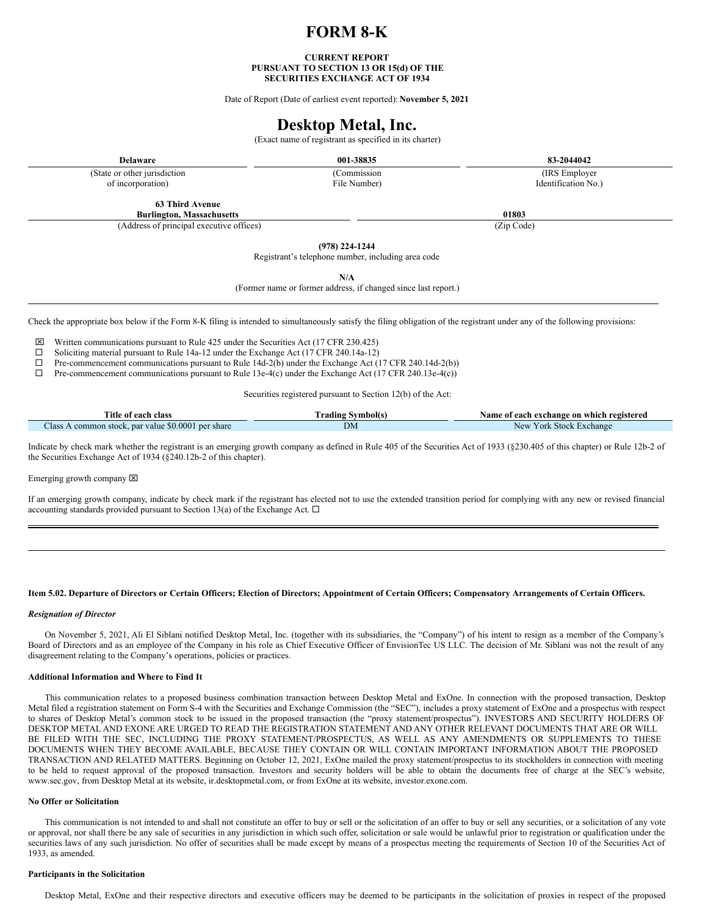# **FORM 8-K**

### **CURRENT REPORT PURSUANT TO SECTION 13 OR 15(d) OF THE SECURITIES EXCHANGE ACT OF 1934**

Date of Report (Date of earliest event reported): **November 5, 2021**

# **Desktop Metal, Inc.**

(Exact name of registrant as specified in its charter)

**Delaware 001-38835 83-2044042**

(State or other jurisdiction of incorporation)

(Commission File Number)

**63 Third Avenue**

(Address of principal executive offices) (Zip Code)

**(978) 224-1244**

Registrant's telephone number, including area code

**N/A**

(Former name or former address, if changed since last report.)

Check the appropriate box below if the Form 8-K filing is intended to simultaneously satisfy the filing obligation of the registrant under any of the following provisions:

 $\boxtimes$  Written communications pursuant to Rule 425 under the Securities Act (17 CFR 230.425)

□ Soliciting material pursuant to Rule 14a-12 under the Exchange Act (17 CFR 240.14a-12)<br>□ Pre-commencement communications pursuant to Rule 14d-2(b) under the Exchange Act (

 $\Box$  Pre-commencement communications pursuant to Rule 14d-2(b) under the Exchange Act (17 CFR 240.14d-2(b))  $\Box$  Pre-commencement communications pursuant to Rule 13e-4(c) under the Exchange Act (17 CFR 240.13e-4(c)) Pre-commencement communications pursuant to Rule 13e-4(c) under the Exchange Act (17 CFR 240.13e-4(c))

Securities registered pursuant to Section 12(b) of the Act:

| Title of each class                                  | Vrading Symbol(s) | Name of each exchange on which registered |
|------------------------------------------------------|-------------------|-------------------------------------------|
| common stock, par value \$0,0001 per share<br>Aass . | DΜ                | York Stock Exchange<br>New                |

Indicate by check mark whether the registrant is an emerging growth company as defined in Rule 405 of the Securities Act of 1933 (§230.405 of this chapter) or Rule 12b-2 of the Securities Exchange Act of 1934 (§240.12b-2 of this chapter).

Emerging growth company  $[2]$ 

If an emerging growth company, indicate by check mark if the registrant has elected not to use the extended transition period for complying with any new or revised financial accounting standards provided pursuant to Section 13(a) of the Exchange Act.  $\Box$ 

#### Item 5.02. Departure of Directors or Certain Officers; Election of Directors; Appointment of Certain Officers; Compensatory Arrangements of Certain Officers.

#### *Resignation of Director*

On November 5, 2021, Ali El Siblani notified Desktop Metal, Inc. (together with its subsidiaries, the "Company") of his intent to resign as a member of the Company's Board of Directors and as an employee of the Company in his role as Chief Executive Officer of EnvisionTec US LLC. The decision of Mr. Siblani was not the result of any disagreement relating to the Company's operations, policies or practices.

#### **Additional Information and Where to Find It**

This communication relates to a proposed business combination transaction between Desktop Metal and ExOne. In connection with the proposed transaction, Desktop Metal filed a registration statement on Form S-4 with the Securities and Exchange Commission (the "SEC"), includes a proxy statement of ExOne and a prospectus with respect to shares of Desktop Metal's common stock to be issued in the proposed transaction (the "proxy statement/prospectus"). INVESTORS AND SECURITY HOLDERS OF DESKTOP METAL AND EXONE ARE URGED TO READ THE REGISTRATION STATEMENT AND ANY OTHER RELEVANT DOCUMENTS THAT ARE OR WILL BE FILED WITH THE SEC, INCLUDING THE PROXY STATEMENT/PROSPECTUS, AS WELL AS ANY AMENDMENTS OR SUPPLEMENTS TO THESE DOCUMENTS WHEN THEY BECOME AVAILABLE, BECAUSE THEY CONTAIN OR WILL CONTAIN IMPORTANT INFORMATION ABOUT THE PROPOSED TRANSACTION AND RELATED MATTERS. Beginning on October 12, 2021, ExOne mailed the proxy statement/prospectus to its stockholders in connection with meeting to be held to request approval of the proposed transaction. Investors and security holders will be able to obtain the documents free of charge at the SEC's website, www.sec.gov, from Desktop Metal at its website, ir.desktopmetal.com, or from ExOne at its website, investor.exone.com.

#### **No Offer or Solicitation**

This communication is not intended to and shall not constitute an offer to buy or sell or the solicitation of an offer to buy or sell any securities, or a solicitation of any vote or approval, nor shall there be any sale of securities in any jurisdiction in which such offer, solicitation or sale would be unlawful prior to registration or qualification under the securities laws of any such jurisdiction. No offer of securities shall be made except by means of a prospectus meeting the requirements of Section 10 of the Securities Act of 1933, as amended.

### **Participants in the Solicitation**

Desktop Metal, ExOne and their respective directors and executive officers may be deemed to be participants in the solicitation of proxies in respect of the proposed

(IRS Employer Identification No.)

**Burlington, Massachusetts 01803**